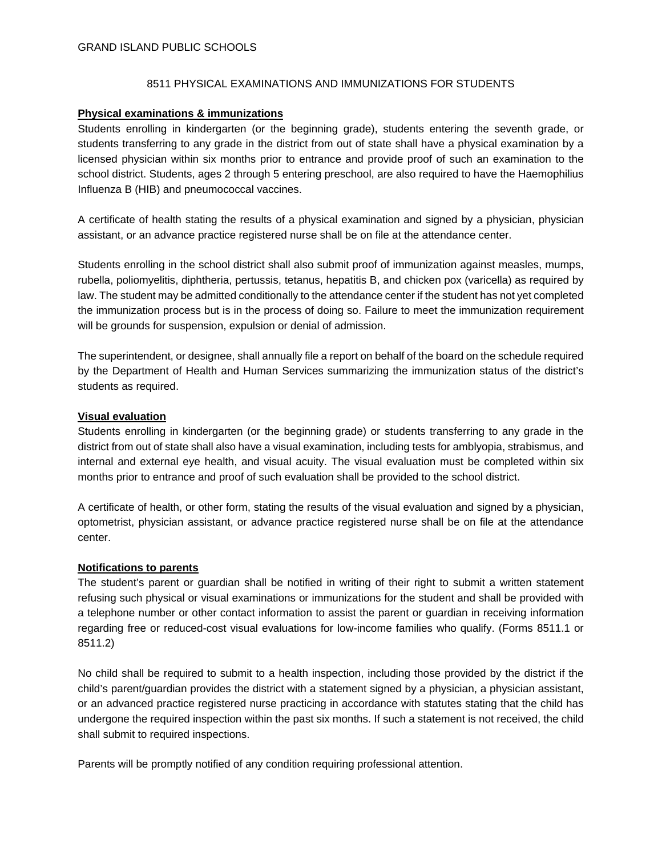## 8511 PHYSICAL EXAMINATIONS AND IMMUNIZATIONS FOR STUDENTS

### **Physical examinations & immunizations**

Students enrolling in kindergarten (or the beginning grade), students entering the seventh grade, or students transferring to any grade in the district from out of state shall have a physical examination by a licensed physician within six months prior to entrance and provide proof of such an examination to the school district. Students, ages 2 through 5 entering preschool, are also required to have the Haemophilius Influenza B (HIB) and pneumococcal vaccines.

A certificate of health stating the results of a physical examination and signed by a physician, physician assistant, or an advance practice registered nurse shall be on file at the attendance center.

Students enrolling in the school district shall also submit proof of immunization against measles, mumps, rubella, poliomyelitis, diphtheria, pertussis, tetanus, hepatitis B, and chicken pox (varicella) as required by law. The student may be admitted conditionally to the attendance center if the student has not yet completed the immunization process but is in the process of doing so. Failure to meet the immunization requirement will be grounds for suspension, expulsion or denial of admission.

The superintendent, or designee, shall annually file a report on behalf of the board on the schedule required by the Department of Health and Human Services summarizing the immunization status of the district's students as required.

### **Visual evaluation**

Students enrolling in kindergarten (or the beginning grade) or students transferring to any grade in the district from out of state shall also have a visual examination, including tests for amblyopia, strabismus, and internal and external eye health, and visual acuity. The visual evaluation must be completed within six months prior to entrance and proof of such evaluation shall be provided to the school district.

A certificate of health, or other form, stating the results of the visual evaluation and signed by a physician, optometrist, physician assistant, or advance practice registered nurse shall be on file at the attendance center.

#### **Notifications to parents**

The student's parent or guardian shall be notified in writing of their right to submit a written statement refusing such physical or visual examinations or immunizations for the student and shall be provided with a telephone number or other contact information to assist the parent or guardian in receiving information regarding free or reduced-cost visual evaluations for low-income families who qualify. (Forms 8511.1 or 8511.2)

No child shall be required to submit to a health inspection, including those provided by the district if the child's parent/guardian provides the district with a statement signed by a physician, a physician assistant, or an advanced practice registered nurse practicing in accordance with statutes stating that the child has undergone the required inspection within the past six months. If such a statement is not received, the child shall submit to required inspections.

Parents will be promptly notified of any condition requiring professional attention.